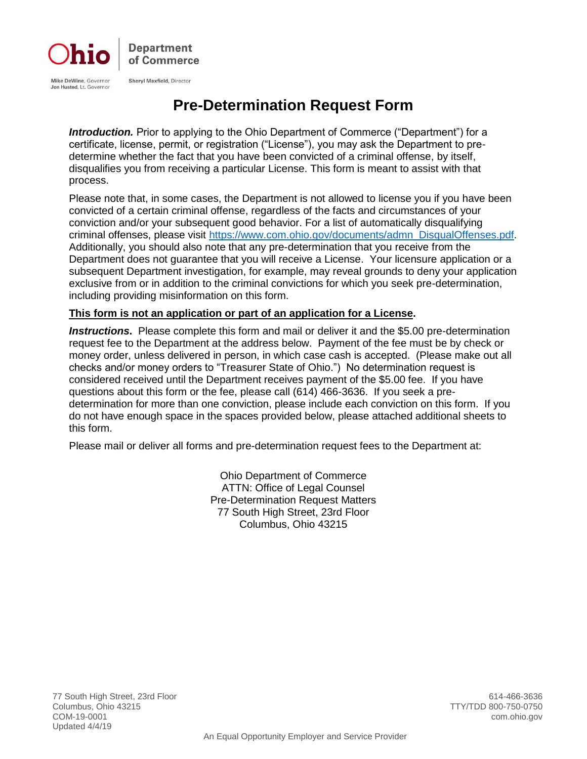

### **Pre-Determination Request Form**

*Introduction.* Prior to applying to the Ohio Department of Commerce ("Department") for a certificate, license, permit, or registration ("License"), you may ask the Department to predetermine whether the fact that you have been convicted of a criminal offense, by itself, disqualifies you from receiving a particular License. This form is meant to assist with that process.

Please note that, in some cases, the Department is not allowed to license you if you have been convicted of a certain criminal offense, regardless of the facts and circumstances of your conviction and/or your subsequent good behavior. For a list of automatically disqualifying criminal offenses, please visit [https://www.com.ohio.gov/documents/admn\\_DisqualOffenses.pdf.](https://www.com.ohio.gov/documents/admn_DisqualOffenses.pdf)  Additionally, you should also note that any pre-determination that you receive from the Department does not guarantee that you will receive a License. Your licensure application or a subsequent Department investigation, for example, may reveal grounds to deny your application exclusive from or in addition to the criminal convictions for which you seek pre-determination, including providing misinformation on this form.

#### **This form is not an application or part of an application for a License.**

*Instructions***.** Please complete this form and mail or deliver it and the \$5.00 pre-determination request fee to the Department at the address below. Payment of the fee must be by check or money order, unless delivered in person, in which case cash is accepted. (Please make out all checks and/or money orders to "Treasurer State of Ohio.") No determination request is considered received until the Department receives payment of the \$5.00 fee. If you have questions about this form or the fee, please call (614) 466-3636. If you seek a predetermination for more than one conviction, please include each conviction on this form. If you do not have enough space in the spaces provided below, please attached additional sheets to this form.

Please mail or deliver all forms and pre-determination request fees to the Department at:

Ohio Department of Commerce ATTN: Office of Legal Counsel Pre-Determination Request Matters 77 South High Street, 23rd Floor Columbus, Ohio 43215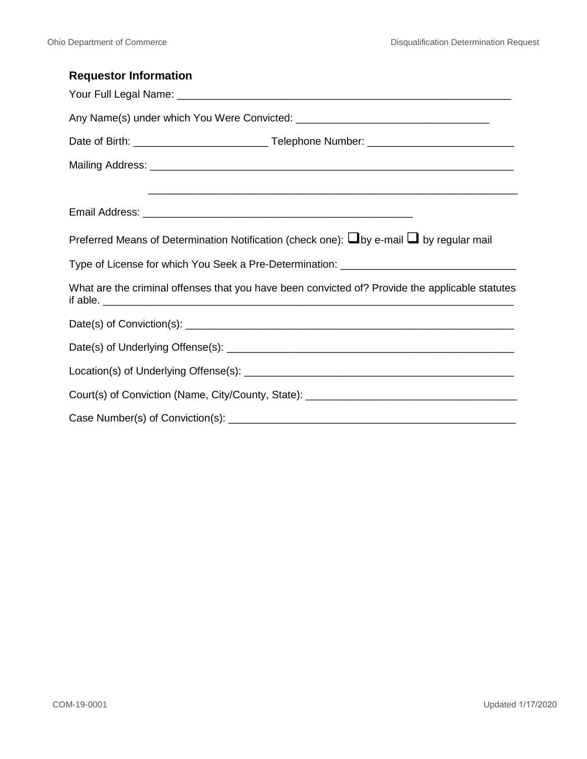| <b>Requestor Information</b>                                                                             |  |  |  |
|----------------------------------------------------------------------------------------------------------|--|--|--|
|                                                                                                          |  |  |  |
|                                                                                                          |  |  |  |
|                                                                                                          |  |  |  |
|                                                                                                          |  |  |  |
|                                                                                                          |  |  |  |
|                                                                                                          |  |  |  |
| Preferred Means of Determination Notification (check one): $\square$ by e-mail $\square$ by regular mail |  |  |  |
| Type of License for which You Seek a Pre-Determination: _________________________                        |  |  |  |
| What are the criminal offenses that you have been convicted of? Provide the applicable statutes          |  |  |  |
|                                                                                                          |  |  |  |
|                                                                                                          |  |  |  |
|                                                                                                          |  |  |  |
| Court(s) of Conviction (Name, City/County, State): ______________________________                        |  |  |  |
|                                                                                                          |  |  |  |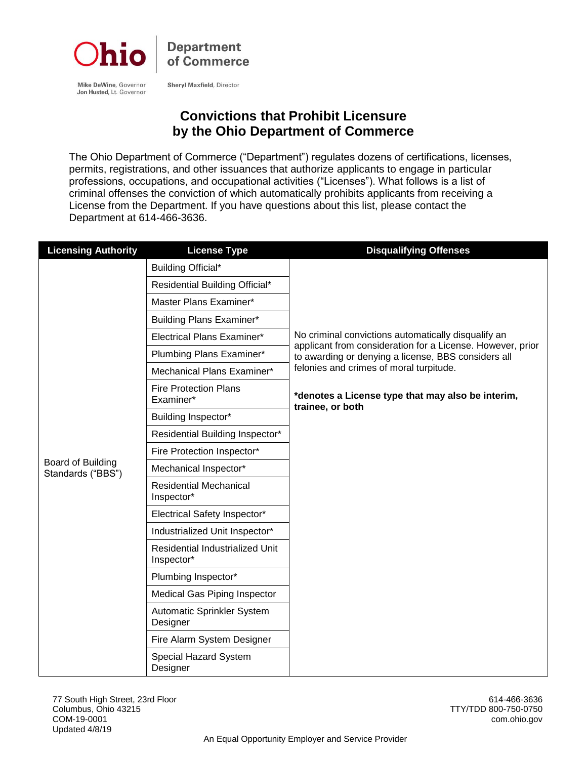

**Sheryl Maxfield, Director** 

Mike DeWine, Governor Jon Husted, Lt. Governor

#### **Convictions that Prohibit Licensure by the Ohio Department of Commerce**

The Ohio Department of Commerce ("Department") regulates dozens of certifications, licenses, permits, registrations, and other issuances that authorize applicants to engage in particular professions, occupations, and occupational activities ("Licenses"). What follows is a list of criminal offenses the conviction of which automatically prohibits applicants from receiving a License from the Department. If you have questions about this list, please contact the Department at 614-466-3636.

| <b>Licensing Authority</b>             | <b>License Type</b>                           | <b>Disqualifying Offenses</b>                                                                                                                                                                                                         |
|----------------------------------------|-----------------------------------------------|---------------------------------------------------------------------------------------------------------------------------------------------------------------------------------------------------------------------------------------|
|                                        | Building Official*                            |                                                                                                                                                                                                                                       |
|                                        | Residential Building Official*                |                                                                                                                                                                                                                                       |
|                                        | Master Plans Examiner*                        |                                                                                                                                                                                                                                       |
|                                        | <b>Building Plans Examiner*</b>               |                                                                                                                                                                                                                                       |
|                                        | Electrical Plans Examiner*                    | No criminal convictions automatically disqualify an                                                                                                                                                                                   |
|                                        | Plumbing Plans Examiner*                      | applicant from consideration for a License. However, prior<br>to awarding or denying a license, BBS considers all<br>felonies and crimes of moral turpitude.<br>*denotes a License type that may also be interim,<br>trainee, or both |
|                                        | Mechanical Plans Examiner*                    |                                                                                                                                                                                                                                       |
|                                        | <b>Fire Protection Plans</b><br>Examiner*     |                                                                                                                                                                                                                                       |
|                                        | Building Inspector*                           |                                                                                                                                                                                                                                       |
|                                        | Residential Building Inspector*               |                                                                                                                                                                                                                                       |
|                                        | Fire Protection Inspector*                    |                                                                                                                                                                                                                                       |
| Board of Building<br>Standards ("BBS") | Mechanical Inspector*                         |                                                                                                                                                                                                                                       |
|                                        | <b>Residential Mechanical</b><br>Inspector*   |                                                                                                                                                                                                                                       |
|                                        | Electrical Safety Inspector*                  |                                                                                                                                                                                                                                       |
|                                        | Industrialized Unit Inspector*                |                                                                                                                                                                                                                                       |
|                                        | Residential Industrialized Unit<br>Inspector* |                                                                                                                                                                                                                                       |
|                                        | Plumbing Inspector*                           |                                                                                                                                                                                                                                       |
|                                        | <b>Medical Gas Piping Inspector</b>           |                                                                                                                                                                                                                                       |
|                                        | Automatic Sprinkler System<br>Designer        |                                                                                                                                                                                                                                       |
|                                        | Fire Alarm System Designer                    |                                                                                                                                                                                                                                       |
|                                        | Special Hazard System<br>Designer             |                                                                                                                                                                                                                                       |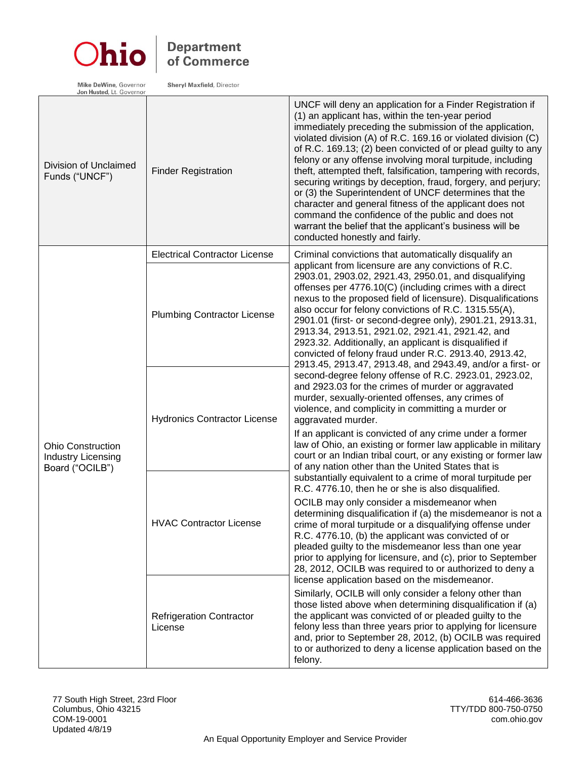

# **Department**<br>of Commerce

Mike DeWine, Governor<br>Jon Husted, Lt. Governor

Sheryl Maxfield, Director

| Division of Unclaimed<br>Funds ("UNCF")                                  | <b>Finder Registration</b>                                            | UNCF will deny an application for a Finder Registration if<br>(1) an applicant has, within the ten-year period<br>immediately preceding the submission of the application,<br>violated division (A) of R.C. 169.16 or violated division (C)<br>of R.C. 169.13; (2) been convicted of or plead guilty to any<br>felony or any offense involving moral turpitude, including<br>theft, attempted theft, falsification, tampering with records,<br>securing writings by deception, fraud, forgery, and perjury;<br>or (3) the Superintendent of UNCF determines that the<br>character and general fitness of the applicant does not<br>command the confidence of the public and does not<br>warrant the belief that the applicant's business will be<br>conducted honestly and fairly.                                                                    |
|--------------------------------------------------------------------------|-----------------------------------------------------------------------|-------------------------------------------------------------------------------------------------------------------------------------------------------------------------------------------------------------------------------------------------------------------------------------------------------------------------------------------------------------------------------------------------------------------------------------------------------------------------------------------------------------------------------------------------------------------------------------------------------------------------------------------------------------------------------------------------------------------------------------------------------------------------------------------------------------------------------------------------------|
|                                                                          | <b>Electrical Contractor License</b>                                  | Criminal convictions that automatically disqualify an                                                                                                                                                                                                                                                                                                                                                                                                                                                                                                                                                                                                                                                                                                                                                                                                 |
| <b>Ohio Construction</b><br><b>Industry Licensing</b><br>Board ("OCILB") | <b>Plumbing Contractor License</b>                                    | applicant from licensure are any convictions of R.C.<br>2903.01, 2903.02, 2921.43, 2950.01, and disqualifying<br>offenses per 4776.10(C) (including crimes with a direct<br>nexus to the proposed field of licensure). Disqualifications<br>also occur for felony convictions of R.C. 1315.55(A),<br>2901.01 (first- or second-degree only), 2901.21, 2913.31,<br>2913.34, 2913.51, 2921.02, 2921.41, 2921.42, and<br>2923.32. Additionally, an applicant is disqualified if<br>convicted of felony fraud under R.C. 2913.40, 2913.42,<br>2913.45, 2913.47, 2913.48, and 2943.49, and/or a first- or<br>second-degree felony offense of R.C. 2923.01, 2923.02,<br>and 2923.03 for the crimes of murder or aggravated<br>murder, sexually-oriented offenses, any crimes of<br>violence, and complicity in committing a murder or<br>aggravated murder. |
|                                                                          | <b>Hydronics Contractor License</b><br><b>HVAC Contractor License</b> |                                                                                                                                                                                                                                                                                                                                                                                                                                                                                                                                                                                                                                                                                                                                                                                                                                                       |
|                                                                          |                                                                       | If an applicant is convicted of any crime under a former<br>law of Ohio, an existing or former law applicable in military<br>court or an Indian tribal court, or any existing or former law<br>of any nation other than the United States that is<br>substantially equivalent to a crime of moral turpitude per<br>R.C. 4776.10, then he or she is also disqualified.                                                                                                                                                                                                                                                                                                                                                                                                                                                                                 |
|                                                                          |                                                                       | OCILB may only consider a misdemeanor when<br>determining disqualification if (a) the misdemeanor is not a<br>crime of moral turpitude or a disqualifying offense under<br>R.C. 4776.10, (b) the applicant was convicted of or<br>pleaded guilty to the misdemeanor less than one year<br>prior to applying for licensure, and (c), prior to September<br>28, 2012, OCILB was required to or authorized to deny a<br>license application based on the misdemeanor.                                                                                                                                                                                                                                                                                                                                                                                    |
|                                                                          | <b>Refrigeration Contractor</b><br>License                            | Similarly, OCILB will only consider a felony other than<br>those listed above when determining disqualification if (a)<br>the applicant was convicted of or pleaded guilty to the<br>felony less than three years prior to applying for licensure<br>and, prior to September 28, 2012, (b) OCILB was required<br>to or authorized to deny a license application based on the<br>felony.                                                                                                                                                                                                                                                                                                                                                                                                                                                               |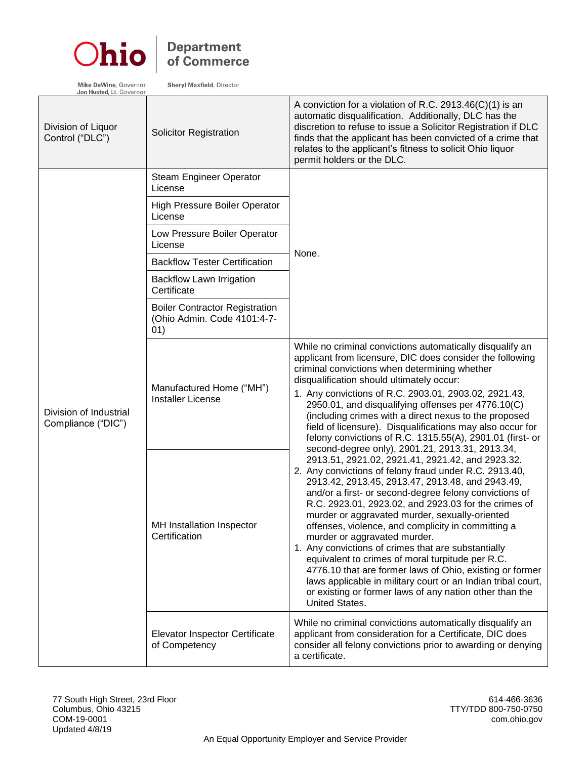

## **Department**<br>of Commerce

Sheryl Maxfield, Director

Mike DeWine, Governor<br>Jon Husted, Lt. Governor

| Division of Liquor<br>Control ("DLC")        | <b>Solicitor Registration</b>                                                | A conviction for a violation of R.C. 2913.46 $(C)(1)$ is an<br>automatic disqualification. Additionally, DLC has the<br>discretion to refuse to issue a Solicitor Registration if DLC<br>finds that the applicant has been convicted of a crime that<br>relates to the applicant's fitness to solicit Ohio liquor<br>permit holders or the DLC.                                                                                                                                                                                                                                                                                                                                                                                                                                                        |
|----------------------------------------------|------------------------------------------------------------------------------|--------------------------------------------------------------------------------------------------------------------------------------------------------------------------------------------------------------------------------------------------------------------------------------------------------------------------------------------------------------------------------------------------------------------------------------------------------------------------------------------------------------------------------------------------------------------------------------------------------------------------------------------------------------------------------------------------------------------------------------------------------------------------------------------------------|
|                                              | Steam Engineer Operator<br>License                                           |                                                                                                                                                                                                                                                                                                                                                                                                                                                                                                                                                                                                                                                                                                                                                                                                        |
|                                              | <b>High Pressure Boiler Operator</b><br>License                              |                                                                                                                                                                                                                                                                                                                                                                                                                                                                                                                                                                                                                                                                                                                                                                                                        |
|                                              | Low Pressure Boiler Operator<br>License                                      |                                                                                                                                                                                                                                                                                                                                                                                                                                                                                                                                                                                                                                                                                                                                                                                                        |
|                                              | <b>Backflow Tester Certification</b>                                         | None.                                                                                                                                                                                                                                                                                                                                                                                                                                                                                                                                                                                                                                                                                                                                                                                                  |
| Division of Industrial<br>Compliance ("DIC") | <b>Backflow Lawn Irrigation</b><br>Certificate                               |                                                                                                                                                                                                                                                                                                                                                                                                                                                                                                                                                                                                                                                                                                                                                                                                        |
|                                              | <b>Boiler Contractor Registration</b><br>(Ohio Admin. Code 4101:4-7-<br>(01) |                                                                                                                                                                                                                                                                                                                                                                                                                                                                                                                                                                                                                                                                                                                                                                                                        |
|                                              | Manufactured Home ("MH")<br><b>Installer License</b>                         | While no criminal convictions automatically disqualify an<br>applicant from licensure, DIC does consider the following<br>criminal convictions when determining whether<br>disqualification should ultimately occur:<br>1. Any convictions of R.C. 2903.01, 2903.02, 2921.43,<br>2950.01, and disqualifying offenses per 4776.10(C)<br>(including crimes with a direct nexus to the proposed<br>field of licensure). Disqualifications may also occur for<br>felony convictions of R.C. 1315.55(A), 2901.01 (first- or                                                                                                                                                                                                                                                                                 |
|                                              | MH Installation Inspector<br>Certification                                   | second-degree only), 2901.21, 2913.31, 2913.34,<br>2913.51, 2921.02, 2921.41, 2921.42, and 2923.32.<br>2. Any convictions of felony fraud under R.C. 2913.40,<br>2913.42, 2913.45, 2913.47, 2913.48, and 2943.49,<br>and/or a first- or second-degree felony convictions of<br>R.C. 2923.01, 2923.02, and 2923.03 for the crimes of<br>murder or aggravated murder, sexually-oriented<br>offenses, violence, and complicity in committing a<br>murder or aggravated murder.<br>1. Any convictions of crimes that are substantially<br>equivalent to crimes of moral turpitude per R.C.<br>4776.10 that are former laws of Ohio, existing or former<br>laws applicable in military court or an Indian tribal court,<br>or existing or former laws of any nation other than the<br><b>United States.</b> |
|                                              | <b>Elevator Inspector Certificate</b><br>of Competency                       | While no criminal convictions automatically disqualify an<br>applicant from consideration for a Certificate, DIC does<br>consider all felony convictions prior to awarding or denying<br>a certificate.                                                                                                                                                                                                                                                                                                                                                                                                                                                                                                                                                                                                |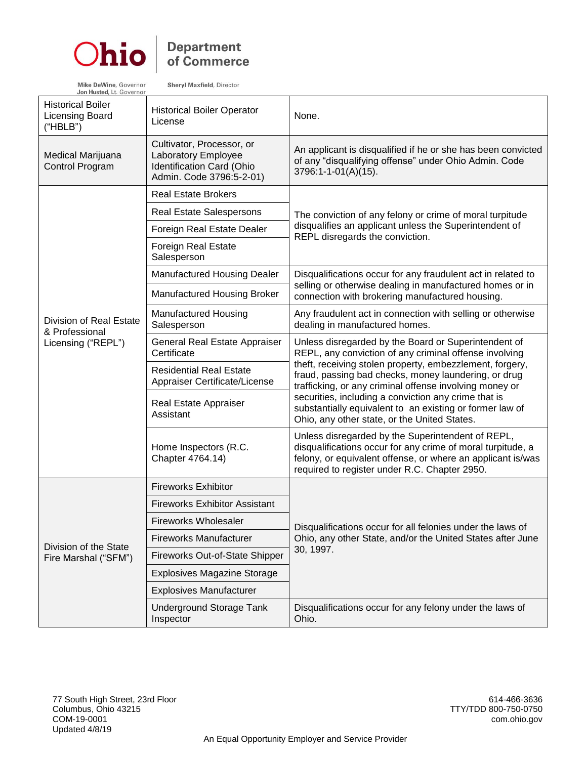

#### **Department** of Commerce

**Shervl Maxfield, Director** 

Mike DeWine, Governor Jon Husted, Lt. Governo

Historical Boiler Licensing Board ("HBLB") Historical Boiler Operator (None. Medical Marijuana Control Program Cultivator, Processor, or Laboratory Employee Identification Card (Ohio Admin. Code 3796:5-2-01) An applicant is disqualified if he or she has been convicted of any "disqualifying offense" under Ohio Admin. Code 3796:1-1-01(A)(15). Division of Real Estate & Professional Licensing ("REPL") Real Estate Brokers The conviction of any felony or crime of moral turpitude disqualifies an applicant unless the Superintendent of REPL disregards the conviction. Real Estate Salespersons Foreign Real Estate Dealer Foreign Real Estate Salesperson Manufactured Housing Dealer | Disqualifications occur for any fraudulent act in related to selling or otherwise dealing in manufactured homes or in Manufactured Housing Broker connection with brokering manufactured housing. Manufactured Housing **Salesperson** Any fraudulent act in connection with selling or otherwise dealing in manufactured homes. General Real Estate Appraiser **Certificate** Unless disregarded by the Board or Superintendent of REPL, any conviction of any criminal offense involving theft, receiving stolen property, embezzlement, forgery, fraud, passing bad checks, money laundering, or drug trafficking, or any criminal offense involving money or securities, including a conviction any crime that is substantially equivalent to an existing or former law of Ohio, any other state, or the United States. Residential Real Estate Appraiser Certificate/License Real Estate Appraiser Assistant Home Inspectors (R.C. Chapter 4764.14) Unless disregarded by the Superintendent of REPL, disqualifications occur for any crime of moral turpitude, a felony, or equivalent offense, or where an applicant is/was required to register under R.C. Chapter 2950. Fireworks Exhibitor Disqualifications occur for all felonies under the laws of Ohio, any other State, and/or the United States after June Fireworks Exhibitor Assistant Fireworks Wholesaler Fireworks Manufacturer

| Division of the State<br>Fire Marshal ("SFM") | <b>Fireworks Manufacturer</b>         | Ohio, any other State, and/or the United States after June        |
|-----------------------------------------------|---------------------------------------|-------------------------------------------------------------------|
|                                               | Fireworks Out-of-State Shipper        | 30, 1997.                                                         |
|                                               | <b>Explosives Magazine Storage</b>    |                                                                   |
|                                               | <b>Explosives Manufacturer</b>        |                                                                   |
|                                               | Underground Storage Tank<br>Inspector | Disqualifications occur for any felony under the laws of<br>Ohio. |